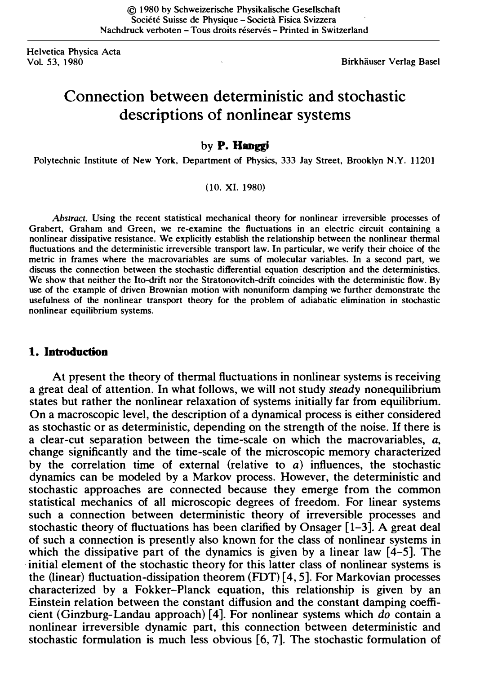Helvetica Physica Acta

**Vol. 33, 1990 Birkhäuser Verlag Basel** 

# Connection between deterministic and stochastic descriptions of nonlinear systems

#### by P. Hanggi

Polytechnic Institute of New York, Department of Physics, 333 Jay Street, Brooklyn N.Y. 11201

#### (10. XI. 1980)

Abstract. Using the recent statistical mechanical theory for nonlinear irreversible processes of Grabert, Graham and Green, we re-examine the fluctuations in an electric circuit containing a nonlinear dissipative resistance. We explicitly establish the relationship between the nonlinear thermal fluctuations and the deterministic irreversible transport law. In particular, we verify their choice of the metric in frames where the macrovariables are sums of molecular variables. In a second part, we discuss the connection between the stochastic differential equation description and the deterministics. We show that neither the Ito-drift nor the Stratonovitch-drift coincides with the deterministic flow. By use of the example of driven Brownian motion with nonuniform damping we further demonstrate the usefulness of the nonlinear transport theory for the problem of adiabatic elimination in stochastic nonlinear equilibrium systems.

## 1. Introduction

At present the theory of thermal fluctuations in nonlinear systems is receiving a great deal of attention. In what follows, we will not study steady nonequilibrium states but rather the nonlinear relaxation of systems initially far from equilibrium. On a macroscopic level, the description of a dynamical process is either considered as stochastic or as deterministic, depending on the strength of the noise. If there is a clear-cut separation between the time-scale on which the macrovariables, a, change significantly and the time-scale of the microscopic memory characterized by the correlation time of external (relative to  $a$ ) influences, the stochastic dynamics can be modeled by a Markov process. However, the deterministic and stochastic approaches are connected because they emerge from the common statistical mechanics of all microscopic degrees of freedom. For linear systems such a connection between deterministic theory of irreversible processes and stochastic theory of fluctuations has been clarified by Onsager [1-3]. A great deal of such a connection is presently also known for the class of nonlinear systems in which the dissipative part of the dynamics is given by a linear law  $[4-5]$ . The initial element of the stochastic theory for this latter class of nonlinear systems is the (linear) fluctuation-dissipation theorem (FDT) [4, 5]. For Markovian processes characterized by a Fokker-Planck equation, this relationship is given by an Einstein relation between the constant diffusion and the constant damping coefficient (Ginzburg-Landau approach) [ 4]. For nonlinear systems which do contain a nonlinear irreversible dynamic part, this connection between deterministic and stochastic formulation is much less obvious [6, 7]. The stochastic formulation of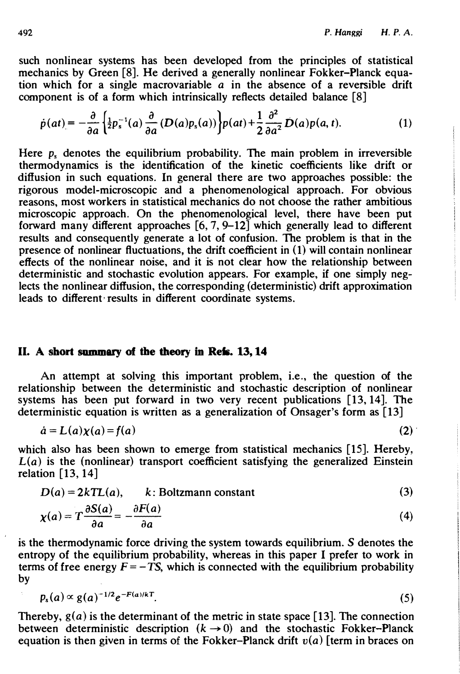such nonlinear systems has been developed from the principles of statistical mechanics by Green [8]. He derived a generally nonlinear Fokker-Planck equation which for a single macrovariable  $\alpha$  in the absence of a reversible drift component is of a form which intrinsically reflects detailed balance [8]

$$
\dot{p}(at) = -\frac{\partial}{\partial a} \left\{ \frac{1}{2} p_s^{-1}(a) \frac{\partial}{\partial a} \left( D(a) p_s(a) \right) \right\} p(at) + \frac{1}{2} \frac{\partial^2}{\partial a^2} D(a) p(a, t). \tag{1}
$$

Here  $p<sub>s</sub>$  denotes the equilibrium probability. The main problem in irreversible thermodynamics is the identification of the kinetic coefficients like drift or diffusion in such equations. In general there are two approaches possible: the rigorous model-microscopic and a phenomenological approach. For obvious reasons, most workers in statistical mechanics do not choose the rather ambitious microscopic approach. On the phenomenological level, there have been put forward many different approaches  $[6, 7, 9-12]$  which generally lead to different results and consequently generate a lot of confusion. The problem is that in the presence of nonlinear fluctuations, the drift coefficient in  $(1)$  will contain nonlinear effects of the nonlinear noise, and it is not clear how the relationship between deterministic and stochastic evolution appears. For example, if one simply neglects the nonlinear diffusion, the corresponding (deterministic) drift approximation leads to different results in different coordinate systems.

## II. A short summary of the theory in Refs. 13, 14

An attempt at solving this important problem, i.e., the question of the relationship between the deterministic and stochastic description of nonlinear systems has been put forward in two very recent publications [13, 14]. The deterministic equation is written as a generalization of Onsager's form as [13]

$$
\dot{a} = L(a)\chi(a) = f(a) \tag{2}
$$

which also has been shown to emerge from statistical mechanics [15]. Hereby,  $L(a)$  is the (nonlinear) transport coefficient satisfying the generalized Einstein relation [13, 14]

$$
D(a) = 2kTL(a), \qquad k: Boltzmann constant
$$
\n
$$
\chi(a) = T \frac{\partial S(a)}{\partial a} = -\frac{\partial F(a)}{\partial a}
$$
\n(4)

is the thermodynamic force driving the system towards equilibrium. S denotes the entropy of the equilibrium probability, whereas in this paper I prefer to work in terms of free energy  $F = -TS$ , which is connected with the equilibrium probability by

$$
p_{s}(a) \propto g(a)^{-1/2} e^{-F(a)/kT}.
$$
 (5)

Thereby,  $g(a)$  is the determinant of the metric in state space [13]. The connection between deterministic description  $(k \rightarrow 0)$  and the stochastic Fokker-Planck equation is then given in terms of the Fokker-Planck drift  $v(a)$  [term in braces on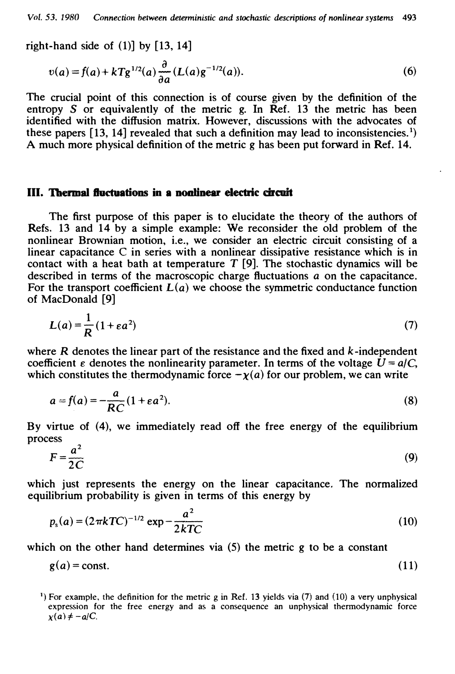right-hand side of  $(1)$ ] by [13, 14]

$$
v(a) = f(a) + kTg^{1/2}(a)\frac{\partial}{\partial a}(L(a)g^{-1/2}(a)).
$$
 (6)

The crucial point of this connection is of course given by the definition of the entropy S or equivalently of the metric g. In Ref. 13 the metric has been identified with the diffusion matrix. However, discussions with the advocates of these papers  $[13, 14]$  revealed that such a definition may lead to inconsistencies.<sup>1</sup>) A much more physical definition of the metric g has been put forward in Ref. 14.

#### III. Thermal fluctuations in a nonlinear electric circuit

The first purpose of this paper is to elucidate the theory of the authors of Refs. 13 and 14 by a simple example: We reconsider the old problem of the nonlinear Brownian motion, i.e., we consider an electric circuit consisting of a linear capacitance C in series with a nonlinear dissipative resistance which is in contact with a heat bath at temperature  $T$  [9]. The stochastic dynamics will be described in terms of the macroscopic charge fluctuations a on the capacitance. For the transport coefficient  $L(a)$  we choose the symmetric conductance function of MacDonald [9]

$$
L(a) = \frac{1}{R} (1 + \varepsilon a^2) \tag{7}
$$

where  $R$  denotes the linear part of the resistance and the fixed and  $k$ -independent coefficient  $\varepsilon$  denotes the nonlinearity parameter. In terms of the voltage  $U = a/C$ , which constitutes the thermodynamic force  $-\chi(a)$  for our problem, we can write

$$
a = f(a) = -\frac{a}{RC}(1 + \varepsilon a^2). \tag{8}
$$

By virtue of (4), we immediately read off the free energy of the equilibrium process

$$
F = \frac{a^2}{2C} \tag{9}
$$

which just represents the energy on the linear capacitance. The normalized equilibrium probability is given in terms of this energy by

$$
p_s(a) = (2\pi kTC)^{-1/2} \exp{-\frac{a^2}{2kTC}}
$$
 (10)

which on the other hand determines via (5) the metric g to be a constant

$$
g(a) = const.
$$
 (11)

<sup>&</sup>lt;sup>1</sup>) For example, the definition for the metric g in Ref. 13 yields via (7) and (10) a very unphysical expression for the free energy and as a consequence an unphysical thermodynamic force  $x(a) \neq -a/C$ .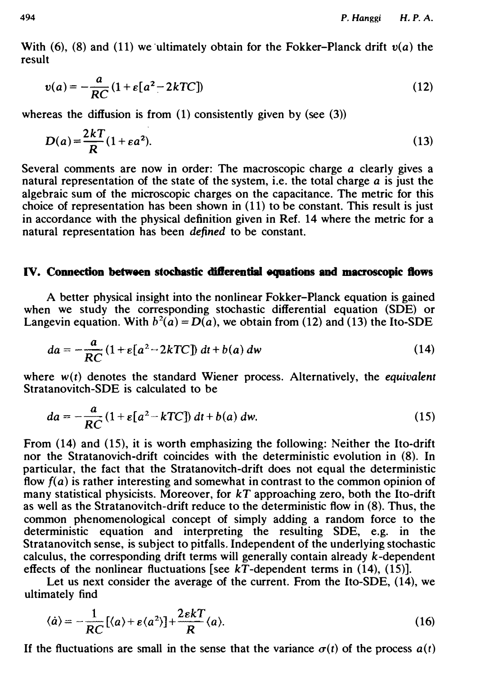With (6), (8) and (11) we ultimately obtain for the Fokker-Planck drift  $v(a)$  the result

$$
v(a) = -\frac{a}{RC} \left( 1 + \varepsilon \left[ a^2 - 2kTC \right] \right) \tag{12}
$$

whereas the diffusion is from  $(1)$  consistently given by (see  $(3)$ )

$$
D(a) = \frac{2kT}{R}(1 + \varepsilon a^2). \tag{13}
$$

Several comments are now in order: The macroscopic charge a clearly gives a natural representation of the state of the system, i.e. the total charge a is just the algebraic sum of the microscopic charges on the capacitance. The metric for this choice of representation has been shown in (11) to be constant. This result is just in accordance with the physical definition given in Ref. 14 where the metric for a natural representation has been defined to be constant.

# IV. Connection between stochastic ditlerential equations and macroscopic ftows

A better physical insight into the nonlinear Fokker-Planck equation is gained when we study the corresponding stochastic differential equation (SDE) or Langevin equation. With  $b^2(a) = D(a)$ , we obtain from (12) and (13) the Ito-SDE

$$
da = -\frac{a}{RC} \left( 1 + \varepsilon \left[ a^2 - 2kTC \right] \right) dt + b(a) \, dw \tag{14}
$$

where  $w(t)$  denotes the standard Wiener process. Alternatively, the equivalent Stratanovitch-SDE is calculated to be

$$
da = -\frac{a}{RC} \left( 1 + \varepsilon \left[ a^2 - kTC \right] \right) dt + b(a) \, dw. \tag{15}
$$

From (14) and (15), it is worth emphasizing the following: Neither the Ito-drift nor the Stratanovich-drift coincides with the deterministic evolution in (8). In particular, the fact that the Stratanovitch-drift does not equal the deterministic flow  $f(a)$  is rather interesting and somewhat in contrast to the common opinion of many statistical physicists. Moreover, for kT approaching zero, both the Ito-drift as well as the Stratanovitch-drift reduce to the deterministic flow in (8). Thus, the common phenomenological concept of simply adding a random force to the deterministic equation and interpreting the resulting SDE, e.g. in the Stratanovitch sense, is subject to pitfalls. Independent of the underlying stochastic calculus, the corresponding drift terms will generally contain already  $k$ -dependent effects of the nonlinear fluctuations [see  $k\overline{T}$ -dependent terms in (14), (15)].

Let us next consider the average of the current. From the Ito-SDE, (14), we ultimately find

$$
\langle \dot{a} \rangle = -\frac{1}{RC} [\langle a \rangle + \varepsilon \langle a^2 \rangle] + \frac{2\varepsilon k}{R} \langle a \rangle. \tag{16}
$$

If the fluctuations are small in the sense that the variance  $\sigma(t)$  of the process  $a(t)$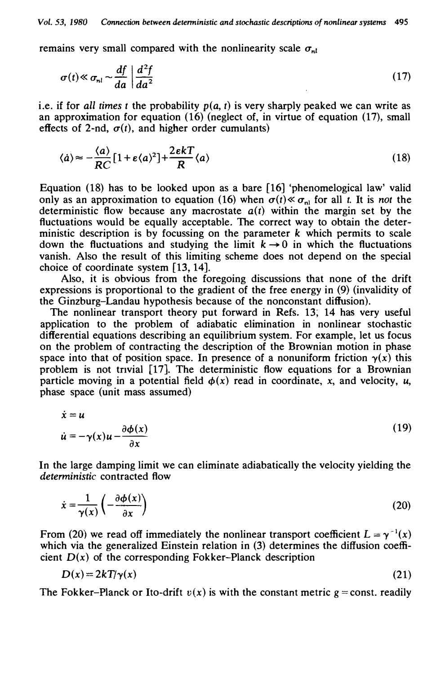remains very small compared with the nonlinearity scale  $\sigma_{nl}$ 

$$
\sigma(t) \ll \sigma_{nl} \sim \frac{df}{da} \left| \frac{d^2f}{da^2} \right|
$$
 (17)

i.e. if for all times t the probability  $p(a, t)$  is very sharply peaked we can write as an approximation for equation (16) (neglect of, in virtue of equation (17), small effects of 2-nd,  $\sigma(t)$ , and higher order cumulants)

$$
\langle \dot{a} \rangle \approx -\frac{\langle a \rangle}{RC} \left[ 1 + \varepsilon \langle a \rangle^2 \right] + \frac{2\varepsilon k}{R} \langle a \rangle \tag{18}
$$

Equation (18) has to be looked upon as a bare  $\lceil 16 \rceil$  'phenomelogical law' valid only as an approximation to equation (16) when  $\sigma(t) \ll \sigma_{nl}$  for all t. It is not the deterministic flow because any macrostate  $a(t)$  within the margin set by the fluctuations would be equally acceptable. The correct way to obtain the deterministic description is by focussing on the parameter  $k$  which permits to scale down the fluctuations and studying the limit  $k \rightarrow 0$  in which the fluctuations vanish. Also the result of this limiting scheme does not depend on the special choice of coordinate system [13, 14).

Also, it is obvious from the foregoing discussions that none of the drift expressions is proportional to the gradient of the free energy in (9) (invalidity of the Ginzburg-Landau hypothesis because of the nonconstant diffusion).

The nonlinear transport theory put forward in Refs. 13, 14 has very useful application to the problem of adiabatic elimination in nonlinear stochastic differential equations describing an equilibrium system. For example, let us focus on the problem of contracting the description of the Brownian motion in phase space into that of position space. In presence of a nonuniform friction  $\gamma(x)$  this problem is not tnvial [17]. The deterministic flow equations for a Brownian particle moving in a potential field  $\phi(x)$  read in coordinate, x, and velocity, u, phase space (unit mass assumed)

$$
\dot{x} = u
$$
  
\n
$$
\dot{u} = -\gamma(x)u - \frac{\partial \phi(x)}{\partial x}
$$
\n(19)

In the large damping limit we can eliminate adiabatically the velocity yielding the deterministic contracted flow

$$
\dot{x} = \frac{1}{\gamma(x)} \left( -\frac{\partial \phi(x)}{\partial x} \right) \tag{20}
$$

From (20) we read off immediately the nonlinear transport coefficient  $L = \gamma^{-1}(x)$ which via the generalized Einstein relation in (3) determines the diffusion coefficient  $D(x)$  of the corresponding Fokker-Planck description

$$
D(x) = 2kT/\gamma(x) \tag{21}
$$

The Fokker-Planck or Ito-drift  $v(x)$  is with the constant metric  $g = const.$  readily